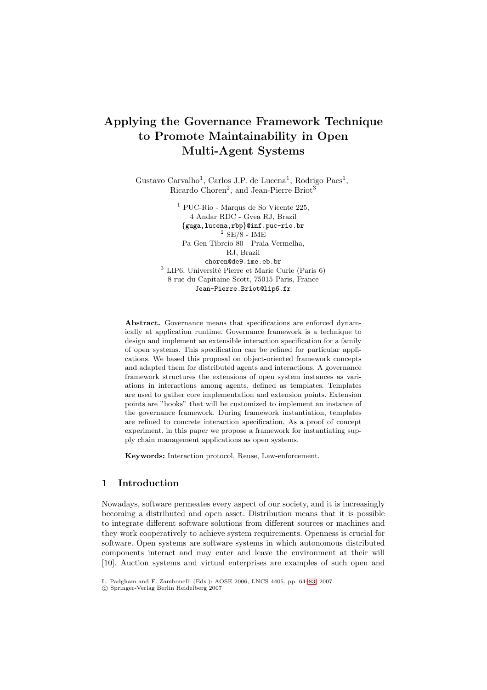# **Applying the Governance Framework Technique to Promote Maintainability in Open Multi-Agent Systems**

Gustavo Carvalho<sup>1</sup>, Carlos J.P. de Lucena<sup>1</sup>, Rodrigo Paes<sup>1</sup>, Ricardo Choren<sup>2</sup>, and Jean-Pierre Briot<sup>3</sup>

> <sup>1</sup> PUC-Rio - Marqus de So Vicente 225, 4 Andar RDC - Gvea RJ, Brazil {guga,lucena,rbp}@inf.puc-rio.br  $^2$  SE/8 - IME Pa Gen Tibrcio 80 - Praia Vermelha, RJ, Brazil choren@de9.ime.eb.br  $^3$  LIP6, Université Pierre et Marie Curie (Paris 6) 8 rue du Capitaine Scott, 75015 Paris, France Jean-Pierre.Briot@lip6.fr

**Abstract.** Governance means that specifications are enforced dynamically at application runtime. Governance framework is a technique to design and implement an extensible interaction specification for a family of open systems. This specification can be refined for particular applications. We based this proposal on object-oriented framework concepts and adapted them for distributed agents and interactions. A governance framework structures the extensions of open system instances as variations in interactions among agents, defined as templates. Templates are used to gather core implementation and extension points. Extension points are "hooks" that will be customized to implement an instance of the governance framework. During framework instantiation, templates are refined to concrete interaction specification. As a proof of concept experiment, in this paper we propose a framework for instantiating supply chain management applications as open systems.

**Keywords:** Interaction protocol, Reuse, Law-enforcement.

# **1 Introduction**

Nowadays, software permeates every aspect of our society, and it is increasingly becoming a distributed and open asset. Distribution means that it is possible to integrate different software solutions from different sources or machines and they work cooperatively to achieve system requirements. Openness is crucial for software. Open systems are software systems in which autonomous distributed components interact and may enter and leave the environment at their will [10]. Auction systems and virtual enterprises are examples of such open and

L. Padgham and F. Zambonelli (Eds.): AOSE 2006, LNCS 4405, pp. 64[–83,](#page-18-0) 2007.

<sup>-</sup>c Springer-Verlag Berlin Heidelberg 2007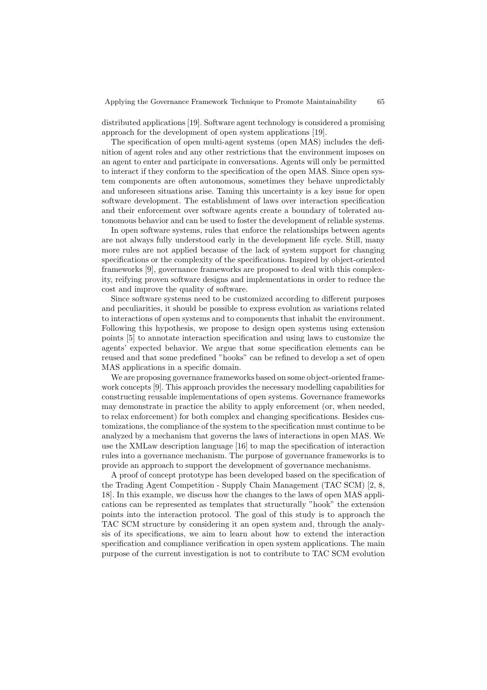distributed applications [19]. Software agent technology is considered a promising approach for the development of open system applications [19].

The specification of open multi-agent systems (open MAS) includes the definition of agent roles and any other restrictions that the environment imposes on an agent to enter and participate in conversations. Agents will only be permitted to interact if they conform to the specification of the open MAS. Since open system components are often autonomous, sometimes they behave unpredictably and unforeseen situations arise. Taming this uncertainty is a key issue for open software development. The establishment of laws over interaction specification and their enforcement over software agents create a boundary of tolerated autonomous behavior and can be used to foster the development of reliable systems.

In open software systems, rules that enforce the relationships between agents are not always fully understood early in the development life cycle. Still, many more rules are not applied because of the lack of system support for changing specifications or the complexity of the specifications. Inspired by object-oriented frameworks [9], governance frameworks are proposed to deal with this complexity, reifying proven software designs and implementations in order to reduce the cost and improve the quality of software.

Since software systems need to be customized according to different purposes and peculiarities, it should be possible to express evolution as variations related to interactions of open systems and to components that inhabit the environment. Following this hypothesis, we propose to design open systems using extension points [5] to annotate interaction specification and using laws to customize the agents' expected behavior. We argue that some specification elements can be reused and that some predefined "hooks" can be refined to develop a set of open MAS applications in a specific domain.

We are proposing governance frameworks based on some object-oriented framework concepts [9]. This approach provides the necessary modelling capabilities for constructing reusable implementations of open systems. Governance frameworks may demonstrate in practice the ability to apply enforcement (or, when needed, to relax enforcement) for both complex and changing specifications. Besides customizations, the compliance of the system to the specification must continue to be analyzed by a mechanism that governs the laws of interactions in open MAS. We use the XMLaw description language [16] to map the specification of interaction rules into a governance mechanism. The purpose of governance frameworks is to provide an approach to support the development of governance mechanisms.

A proof of concept prototype has been developed based on the specification of the Trading Agent Competition - Supply Chain Management (TAC SCM) [2, 8, 18]. In this example, we discuss how the changes to the laws of open MAS applications can be represented as templates that structurally "hook" the extension points into the interaction protocol. The goal of this study is to approach the TAC SCM structure by considering it an open system and, through the analysis of its specifications, we aim to learn about how to extend the interaction specification and compliance verification in open system applications. The main purpose of the current investigation is not to contribute to TAC SCM evolution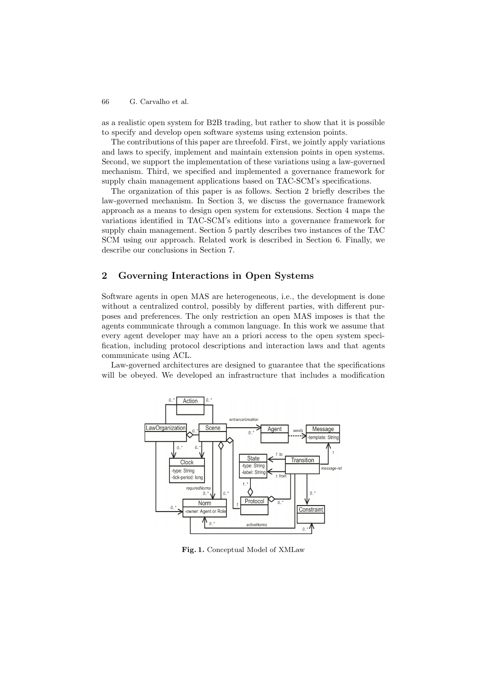as a realistic open system for B2B trading, but rather to show that it is possible to specify and develop open software systems using extension points.

The contributions of this paper are threefold. First, we jointly apply variations and laws to specify, implement and maintain extension points in open systems. Second, we support the implementation of these variations using a law-governed mechanism. Third, we specified and implemented a governance framework for supply chain management applications based on TAC-SCM's specifications.

The organization of this paper is as follows. Section 2 briefly describes the law-governed mechanism. In Section 3, we discuss the governance framework approach as a means to design open system for extensions. Section 4 maps the variations identified in TAC-SCM's editions into a governance framework for supply chain management. Section 5 partly describes two instances of the TAC SCM using our approach. Related work is described in Section 6. Finally, we describe our conclusions in Section 7.

# **2 Governing Interactions in Open Systems**

Software agents in open MAS are heterogeneous, i.e., the development is done without a centralized control, possibly by different parties, with different purposes and preferences. The only restriction an open MAS imposes is that the agents communicate through a common language. In this work we assume that every agent developer may have an a priori access to the open system specification, including protocol descriptions and interaction laws and that agents communicate using ACL.

Law-governed architectures are designed to guarantee that the specifications will be obeyed. We developed an infrastructure that includes a modification



**Fig. 1.** Conceptual Model of XMLaw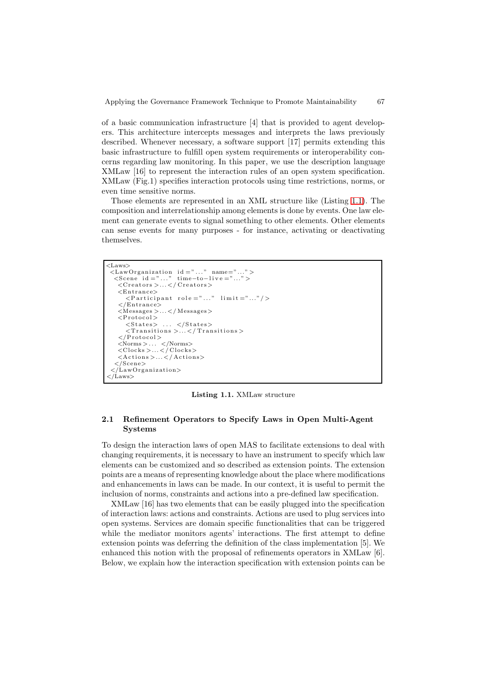of a basic communication infrastructure [4] that is provided to agent developers. This architecture intercepts messages and interprets the laws previously described. Whenever necessary, a software support [17] permits extending this basic infrastructure to fulfill open system requirements or interoperability concerns regarding law monitoring. In this paper, we use the description language XMLaw [16] to represent the interaction rules of an open system specification. XMLaw (Fig.1) specifies interaction protocols using time restrictions, norms, or even time sensitive norms.

Those elements are represented in an XML structure like (Listing [1.1\)](#page-3-0). The composition and interrelationship among elements is done by events. One law element can generate events to signal something to other elements. Other elements can sense events for many purposes - for instance, activating or deactivating themselves.

```
\langleLaws\rangle<LawOrganization id = "..." name="..." ><br>
<Scene id = "..." time-to-live = "..." >
    <Creators >... </Creators>
    <Entrance>\langleParticipant role = "..." limit = "..."/>
    \langleEntrance\rangle<Messages >... </Messages>
    <Protocol><br>
<States>
                     \ldots \langleStates>
       <Transitions >...</Transitions >\langleProtocol ><\!\!N \text{orms} > \ldots <\!\!/\text{Norms} ><Clocks >... </Clocks>
    <Actions >... </Actions>
  \langleScene\rangle</LawOrganization>
\langle/Laws>
```
**Listing 1.1.** XMLaw structure

### **2.1 Refinement Operators to Specify Laws in Open Multi-Agent Systems**

To design the interaction laws of open MAS to facilitate extensions to deal with changing requirements, it is necessary to have an instrument to specify which law elements can be customized and so described as extension points. The extension points are a means of representing knowledge about the place where modifications and enhancements in laws can be made. In our context, it is useful to permit the inclusion of norms, constraints and actions into a pre-defined law specification.

XMLaw [16] has two elements that can be easily plugged into the specification of interaction laws: actions and constraints. Actions are used to plug services into open systems. Services are domain specific functionalities that can be triggered while the mediator monitors agents' interactions. The first attempt to define extension points was deferring the definition of the class implementation [5]. We enhanced this notion with the proposal of refinements operators in XMLaw [6]. Below, we explain how the interaction specification with extension points can be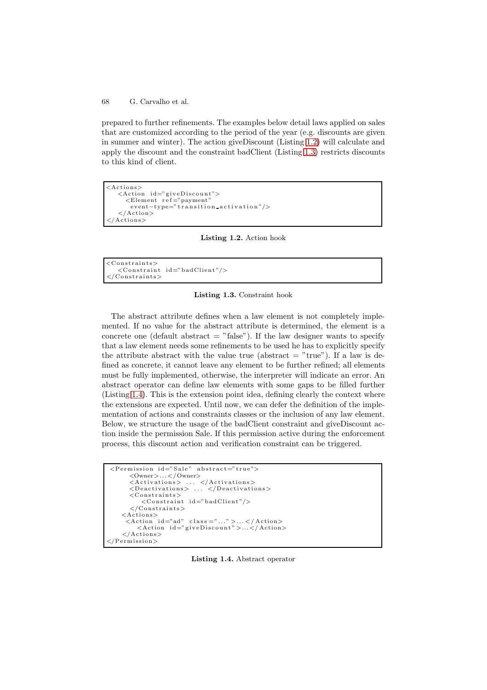prepared to further refinements. The examples below detail laws applied on sales that are customized according to the period of the year (e.g. discounts are given in summer and winter). The action giveDiscount (Listing [1.2\)](#page-4-0) will calculate and apply the discount and the constraint badClient (Listing [1.3\)](#page-4-1) restricts discounts to this kind of client.

```
< Actions>
   <A ct ion i d=" g i v e D i s c o u n t">
      \leqElement ref="payment"
       event-type=" transition_activation"/>
   \langle / Action ></Actions>
```
**Listing 1.2.** Action hook

```
<Constraints>
     \langle \text{Constant} | \text{id} = \text{"badClient"} \rangle</Constraints>
```
**Listing 1.3.** Constraint hook

The abstract attribute defines when a law element is not completely implemented. If no value for the abstract attribute is determined, the element is a concrete one (default abstract  $=$  "false"). If the law designer wants to specify that a law element needs some refinements to be used he has to explicitly specify the attribute abstract with the value true (abstract  $=$  "true"). If a law is defined as concrete, it cannot leave any element to be further refined; all elements must be fully implemented, otherwise, the interpreter will indicate an error. An abstract operator can define law elements with some gaps to be filled further (Listing [1.4\)](#page-4-2). This is the extension point idea, defining clearly the context where the extensions are expected. Until now, we can defer the definition of the implementation of actions and constraints classes or the inclusion of any law element. Below, we structure the usage of the badClient constraint and giveDiscount action inside the permission Sale. If this permission active during the enforcement process, this discount action and verification constraint can be triggered.

```
\langlePermission id="Sale" abstract="true">
        <Owner>... </Owner>
        <Activations > ... </Activations >
        <Deactivations > ... </Deactivations >
       <Constraints>\langleConstraint id="badClient"/>
        </Constraints>
     <Actions><A c t ion i d="ad " c l a s s = " . . . " >... </Action>
<A ct ion i d=" g i v e D i s c o u n t " >... </Action>
     </Actions>
</Permission>
```
**Listing 1.4.** Abstract operator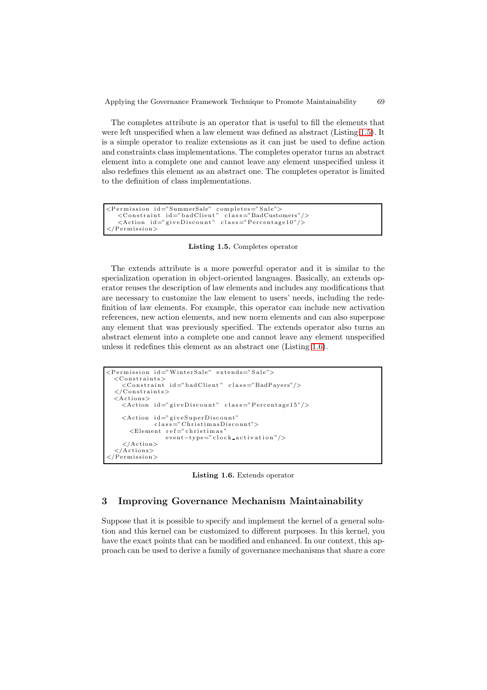The completes attribute is an operator that is useful to fill the elements that were left unspecified when a law element was defined as abstract (Listing [1.5\)](#page-5-0). It is a simple operator to realize extensions as it can just be used to define action and constraints class implementations. The completes operator turns an abstract element into a complete one and cannot leave any element unspecified unless it also redefines this element as an abstract one. The completes operator is limited to the definition of class implementations.

```
<Permission id="SummerSale" completes="Sale"><br><Constraint id="badClient" class="BadCustomers"/>
    <Constraint id="badClient"
    <Action id="giveDiscount" class="Percentage10"/>
 </Permission>
```
**Listing 1.5.** Completes operator

The extends attribute is a more powerful operator and it is similar to the specialization operation in object-oriented languages. Basically, an extends operator reuses the description of law elements and includes any modifications that are necessary to customize the law element to users' needs, including the redefinition of law elements. For example, this operator can include new activation references, new action elements, and new norm elements and can also superpose any element that was previously specified. The extends operator also turns an abstract element into a complete one and cannot leave any element unspecified unless it redefines this element as an abstract one (Listing [1.6\)](#page-5-1).

```
\rm <\!Permission\: id="Wintersale" extends="Sale"<Constraints>\langleConstraint id="badClient" class="BadPayers"/>
  </Constraints>
  <Actions>
    \langle Action id=" giveDiscount" class="Percentage15"/>
    \langleAction id="giveSuperDiscount"
             class = "ChristimasDiscount"\leqElement ref=" christimas"
                 event-type=" clock_activation"/>
    \langle Action\rangle</Actions>
</Permission>
```
**Listing 1.6.** Extends operator

# **3 Improving Governance Mechanism Maintainability**

Suppose that it is possible to specify and implement the kernel of a general solution and this kernel can be customized to different purposes. In this kernel, you have the exact points that can be modified and enhanced. In our context, this approach can be used to derive a family of governance mechanisms that share a core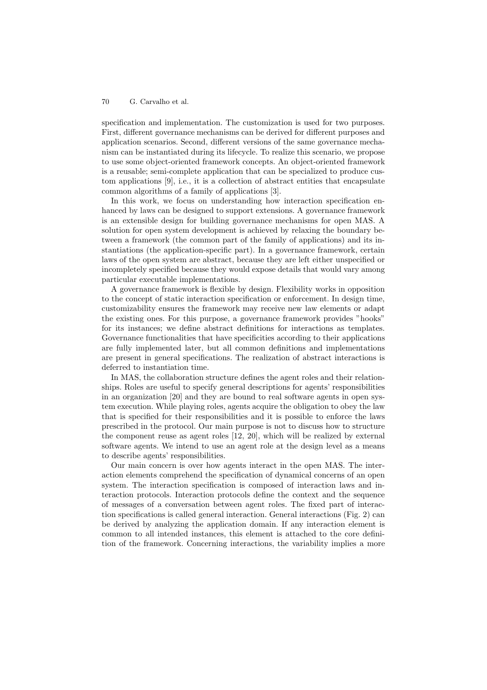specification and implementation. The customization is used for two purposes. First, different governance mechanisms can be derived for different purposes and application scenarios. Second, different versions of the same governance mechanism can be instantiated during its lifecycle. To realize this scenario, we propose to use some object-oriented framework concepts. An object-oriented framework is a reusable; semi-complete application that can be specialized to produce custom applications [9], i.e., it is a collection of abstract entities that encapsulate common algorithms of a family of applications [3].

In this work, we focus on understanding how interaction specification enhanced by laws can be designed to support extensions. A governance framework is an extensible design for building governance mechanisms for open MAS. A solution for open system development is achieved by relaxing the boundary between a framework (the common part of the family of applications) and its instantiations (the application-specific part). In a governance framework, certain laws of the open system are abstract, because they are left either unspecified or incompletely specified because they would expose details that would vary among particular executable implementations.

A governance framework is flexible by design. Flexibility works in opposition to the concept of static interaction specification or enforcement. In design time, customizability ensures the framework may receive new law elements or adapt the existing ones. For this purpose, a governance framework provides "hooks" for its instances; we define abstract definitions for interactions as templates. Governance functionalities that have specificities according to their applications are fully implemented later, but all common definitions and implementations are present in general specifications. The realization of abstract interactions is deferred to instantiation time.

In MAS, the collaboration structure defines the agent roles and their relationships. Roles are useful to specify general descriptions for agents' responsibilities in an organization [20] and they are bound to real software agents in open system execution. While playing roles, agents acquire the obligation to obey the law that is specified for their responsibilities and it is possible to enforce the laws prescribed in the protocol. Our main purpose is not to discuss how to structure the component reuse as agent roles [12, 20], which will be realized by external software agents. We intend to use an agent role at the design level as a means to describe agents' responsibilities.

Our main concern is over how agents interact in the open MAS. The interaction elements comprehend the specification of dynamical concerns of an open system. The interaction specification is composed of interaction laws and interaction protocols. Interaction protocols define the context and the sequence of messages of a conversation between agent roles. The fixed part of interaction specifications is called general interaction. General interactions (Fig. 2) can be derived by analyzing the application domain. If any interaction element is common to all intended instances, this element is attached to the core definition of the framework. Concerning interactions, the variability implies a more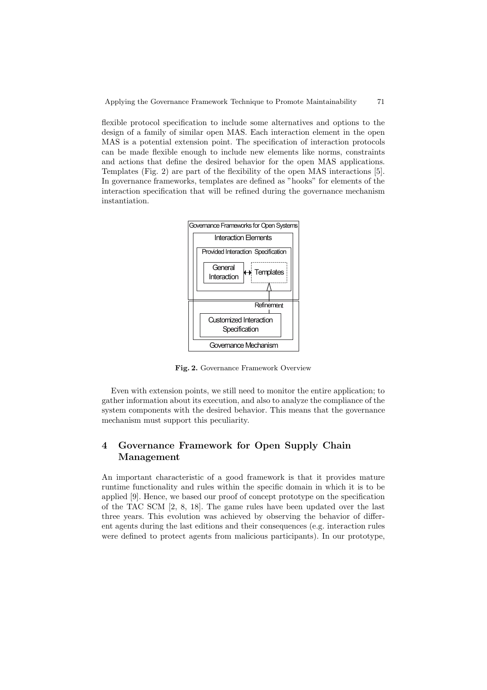flexible protocol specification to include some alternatives and options to the design of a family of similar open MAS. Each interaction element in the open MAS is a potential extension point. The specification of interaction protocols can be made flexible enough to include new elements like norms, constraints and actions that define the desired behavior for the open MAS applications. Templates (Fig. 2) are part of the flexibility of the open MAS interactions [5]. In governance frameworks, templates are defined as "hooks" for elements of the interaction specification that will be refined during the governance mechanism instantiation.



**Fig. 2.** Governance Framework Overview

Even with extension points, we still need to monitor the entire application; to gather information about its execution, and also to analyze the compliance of the system components with the desired behavior. This means that the governance mechanism must support this peculiarity.

# **4 Governance Framework for Open Supply Chain Management**

An important characteristic of a good framework is that it provides mature runtime functionality and rules within the specific domain in which it is to be applied [9]. Hence, we based our proof of concept prototype on the specification of the TAC SCM [2, 8, 18]. The game rules have been updated over the last three years. This evolution was achieved by observing the behavior of different agents during the last editions and their consequences (e.g. interaction rules were defined to protect agents from malicious participants). In our prototype,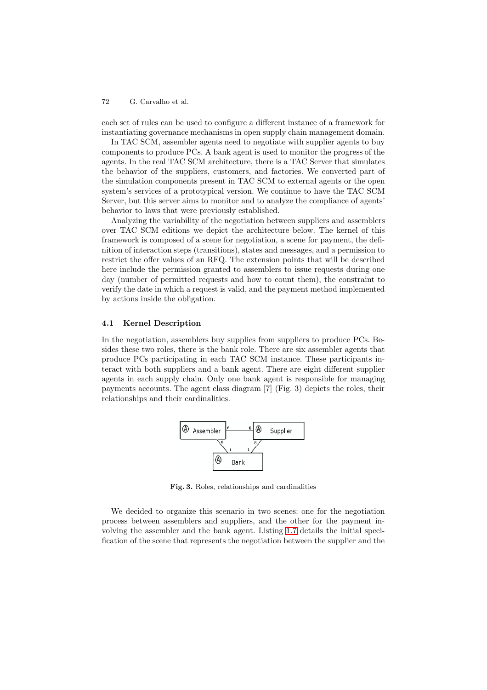each set of rules can be used to configure a different instance of a framework for instantiating governance mechanisms in open supply chain management domain.

In TAC SCM, assembler agents need to negotiate with supplier agents to buy components to produce PCs. A bank agent is used to monitor the progress of the agents. In the real TAC SCM architecture, there is a TAC Server that simulates the behavior of the suppliers, customers, and factories. We converted part of the simulation components present in TAC SCM to external agents or the open system's services of a prototypical version. We continue to have the TAC SCM Server, but this server aims to monitor and to analyze the compliance of agents' behavior to laws that were previously established.

Analyzing the variability of the negotiation between suppliers and assemblers over TAC SCM editions we depict the architecture below. The kernel of this framework is composed of a scene for negotiation, a scene for payment, the definition of interaction steps (transitions), states and messages, and a permission to restrict the offer values of an RFQ. The extension points that will be described here include the permission granted to assemblers to issue requests during one day (number of permitted requests and how to count them), the constraint to verify the date in which a request is valid, and the payment method implemented by actions inside the obligation.

#### **4.1 Kernel Description**

In the negotiation, assemblers buy supplies from suppliers to produce PCs. Besides these two roles, there is the bank role. There are six assembler agents that produce PCs participating in each TAC SCM instance. These participants interact with both suppliers and a bank agent. There are eight different supplier agents in each supply chain. Only one bank agent is responsible for managing payments accounts. The agent class diagram [7] (Fig. 3) depicts the roles, their relationships and their cardinalities.



**Fig. 3.** Roles, relationships and cardinalities

We decided to organize this scenario in two scenes: one for the negotiation process between assemblers and suppliers, and the other for the payment involving the assembler and the bank agent. Listing [1.7](#page-9-0) details the initial specification of the scene that represents the negotiation between the supplier and the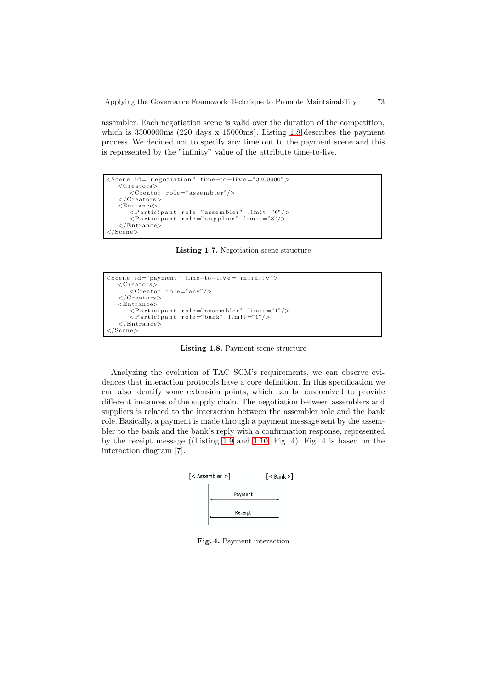Applying the Governance Framework Technique to Promote Maintainability 73

assembler. Each negotiation scene is valid over the duration of the competition, which is 3300000ms (220 days x 15000ms). Listing [1.8](#page-9-1) describes the payment process. We decided not to specify any time out to the payment scene and this is represented by the "infinity" value of the attribute time-to-live.

```
<Scene id=" negotiation" time-to-live="3300000">
    <Creators>
       <Creator role="assembler"/>
    \langle/Creators>
   \langleEntrance>
        <Participant role="assembler" limit="6"/><br><Participant role="supplier" limit="8"/>
    \langleEntrance>
</Scene>
```
**Listing 1.7.** Negotiation scene structure

```
<Scene id="payment" time-to-live="infinity">
   \epsilonCreators
   <Creator role="any"/><br>
</Creators>
   \overline{\mathcal{E}}Entrance>
       \leqParticipant role="assembler" limit="1"/>
        \langleParticipant role="bank" limit="1"/>
    \langleEntrance>
 </Scene>
```
**Listing 1.8.** Payment scene structure

Analyzing the evolution of TAC SCM's requirements, we can observe evidences that interaction protocols have a core definition. In this specification we can also identify some extension points, which can be customized to provide different instances of the supply chain. The negotiation between assemblers and suppliers is related to the interaction between the assembler role and the bank role. Basically, a payment is made through a payment message sent by the assembler to the bank and the bank's reply with a confirmation response, represented by the receipt message ((Listing [1.9](#page-10-0) and [1.10,](#page-10-1) Fig. 4). Fig. 4 is based on the interaction diagram [7].



**Fig. 4.** Payment interaction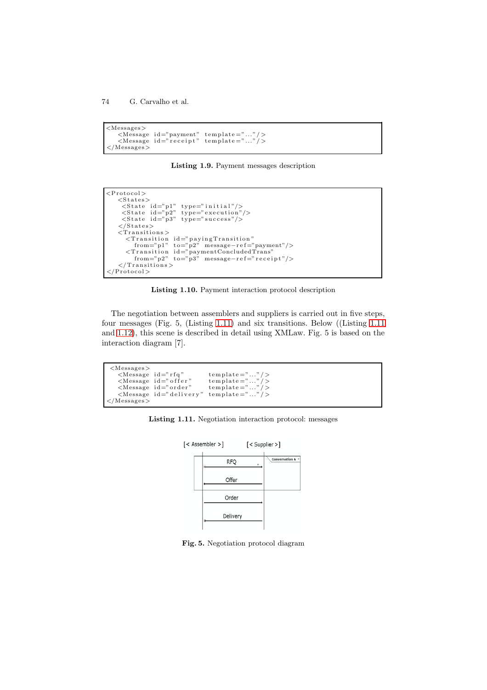```
<Messages>
   \langleMessage id="payment" template="..."/>
   <Message id="receipt" template="..."/>
</Messages>
```
**Listing 1.9.** Payment messages description

```
<Protocol ><States>\langleState id="p1" type="initial"/><State id="p2" type="execution"/><br><State id="p3" type="success"/>
     \langle/States>
     \langleTransitions >\langleTransition id="payingTransition"
        from="p1" to="p2" message-ref="payment"/><br>
<Transition id="paymentConcludedTrans"<br>
{from="p2" to="p3" message-ref="receipt"/>
     \langle/Transitions >
\langleProtocol >
```
**Listing 1.10.** Payment interaction protocol description

The negotiation between assemblers and suppliers is carried out in five steps, four messages (Fig. 5, (Listing [1.11\)](#page-10-2) and six transitions. Below ((Listing [1.11](#page-10-2) and [1.12\)](#page-11-0), this scene is described in detail using XMLaw. Fig. 5 is based on the interaction diagram [7].

<span id="page-10-2"></span>

| $<$ Messages $>$<br>$<$ Message id="rfq" | $\langle$ Message id="offer"<br>$<$ Message id="order" | $\text{template} = ""$ /><br>$\text{template} = \text{""}$ " /><br>$\text{template} = \text{""}$ " /><br>$\langle$ Message id="delivery" template=""/> |  |
|------------------------------------------|--------------------------------------------------------|--------------------------------------------------------------------------------------------------------------------------------------------------------|--|
| $\langle$ /Messages                      |                                                        |                                                                                                                                                        |  |





**Fig. 5.** Negotiation protocol diagram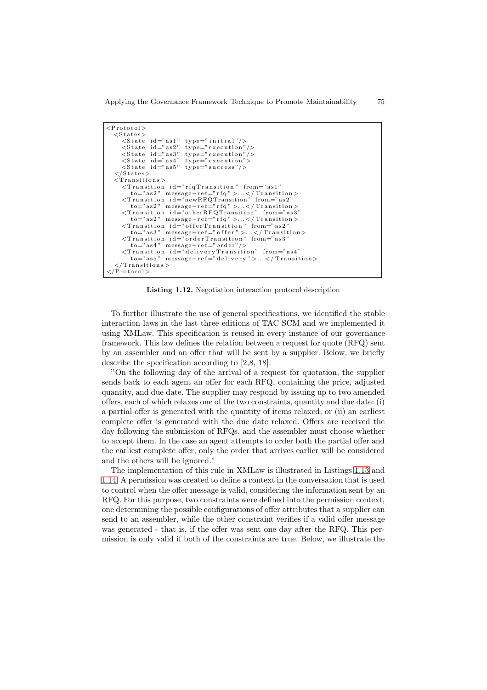<span id="page-11-0"></span>Applying the Governance Framework Technique to Promote Maintainability 75

```
<Protocol >
  <States>\langleState id="as1" type="initial"/>
     \langleState id="as2" type="execution"/>
     <State id="as3" type="execution"/><br><State id="as4" type="execution">
     \langleState id="as5" type="success"/>
   \langle/States>
  \langleTransitions \rangle\langleTransition id="rfqTransition" from="as1"
     to="as2" message-ref="rfq">...</Transition><br><Transition id="newRFQTransition" from="as2"
     to="as2" message-ref="rfq">...</Transition><br><Transition id="otherRFQTransition" from="as3"
     to="as2" message-ref="rfq">...</Transition><br><Transition id="offerTransition" from="as2"
     to="as3" message-ref="offer">...</Transition><br><Transition id="orderTransition" from="as3"
        to="as4" message-ref="order"/>
     \langleTransition id="deliveryTransition" from="as4"
        to="as5" message-ref="delivery">...</Transition>
   </Transitions >
\langle/Protocol>
```
**Listing 1.12.** Negotiation interaction protocol description

To further illustrate the use of general specifications, we identified the stable interaction laws in the last three editions of TAC SCM and we implemented it using XMLaw. This specification is reused in every instance of our governance framework. This law defines the relation between a request for quote (RFQ) sent by an assembler and an offer that will be sent by a supplier. Below, we briefly describe the specification according to [2,8, 18].

"On the following day of the arrival of a request for quotation, the supplier sends back to each agent an offer for each RFQ, containing the price, adjusted quantity, and due date. The supplier may respond by issuing up to two amended offers, each of which relaxes one of the two constraints, quantity and due date: (i) a partial offer is generated with the quantity of items relaxed; or (ii) an earliest complete offer is generated with the due date relaxed. Offers are received the day following the submission of RFQs, and the assembler must choose whether to accept them. In the case an agent attempts to order both the partial offer and the earliest complete offer, only the order that arrives earlier will be considered and the others will be ignored."

The implementation of this rule in XMLaw is illustrated in Listings [1.13](#page-12-0) and [1.14.](#page-12-1) A permission was created to define a context in the conversation that is used to control when the offer message is valid, considering the information sent by an RFQ. For this purpose, two constraints were defined into the permission context, one determining the possible configurations of offer attributes that a supplier can send to an assembler, while the other constraint verifies if a valid offer message was generated - that is, if the offer was sent one day after the RFQ. This permission is only valid if both of the constraints are true. Below, we illustrate the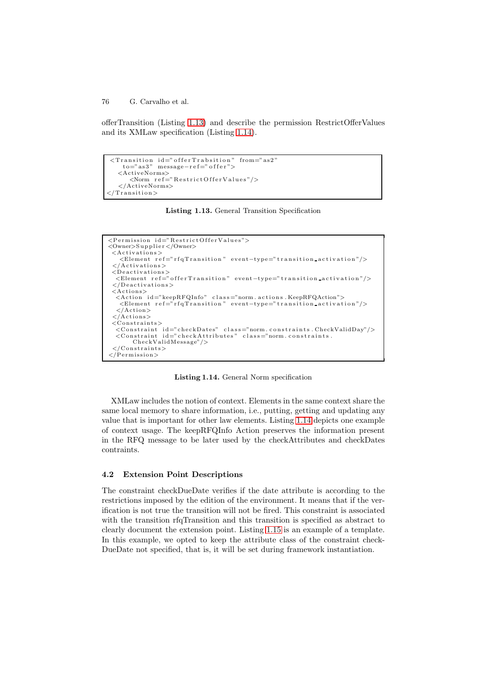offerTransition (Listing [1.13\)](#page-12-0) and describe the permission RestrictOfferValues and its XMLaw specification (Listing [1.14\)](#page-12-1).

```
\langleTransition id=" offerTrabsition" from="as2'
   to="as3" message-ref="offer">
  <ActiveNorms>
  <Norm ref="RestrictOfferValues"/><br></ActiveNorms>
 </Transition>
```
**Listing 1.13.** General Transition Specification

```
\leq Permission id="Restrict Offer Values">
<Owner>Supplier </Owner>
 <Activations ><Element r e f =" r f q T r a n s i t i o n " ev ent−typ e=" t r a n s i t i o n a c t i v a t i o n "/>
 \langle/Activations \rangle<Deactivations >
  <Element r e f =" o f f e r T r a n s i t i o n " ev ent−typ e=" t r a n s i t i o n a c t i v a t i o n "/>
 \langleDeactivations>
 <Actions>
  <A c t ion i d="keepRFQInfo " c l a s s ="norm . a c t i on s . KeepRFQAction">
   <Element r e f =" r f q T r a n s i t i o n " ev ent−typ e=" t r a n s i t i o n a c t i v a t i o n "/>
  </Action>
 \langle Actions>
 <Constraints><br><Constraint id="checkDates" class="norm.constraints.CheckValidDay"/>
  <Constraint id="checkAttributes" class="norm.constraints.
        CheckValidMessage*/>\angle/Constraints\sim</Permission>
```
<span id="page-12-1"></span>**Listing 1.14.** General Norm specification

XMLaw includes the notion of context. Elements in the same context share the same local memory to share information, i.e., putting, getting and updating any value that is important for other law elements. Listing [1.14](#page-12-1) depicts one example of context usage. The keepRFQInfo Action preserves the information present in the RFQ message to be later used by the checkAttributes and checkDates contraints.

### **4.2 Extension Point Descriptions**

The constraint checkDueDate verifies if the date attribute is according to the restrictions imposed by the edition of the environment. It means that if the verification is not true the transition will not be fired. This constraint is associated with the transition rfqTransition and this transition is specified as abstract to clearly document the extension point. Listing [1.15](#page-13-0) is an example of a template. In this example, we opted to keep the attribute class of the constraint check-DueDate not specified, that is, it will be set during framework instantiation.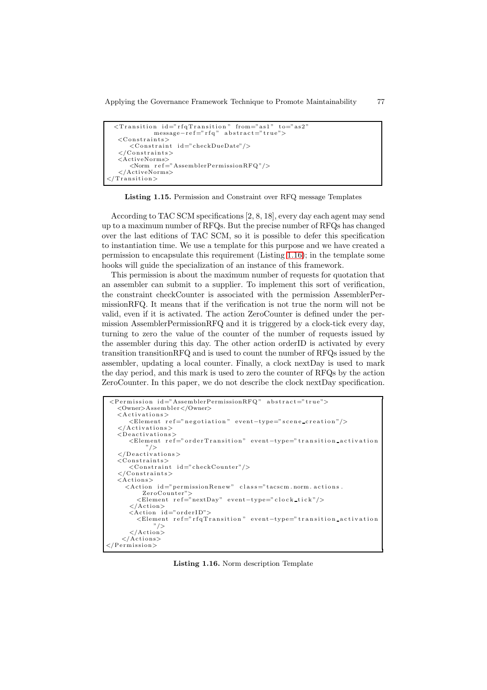Applying the Governance Framework Technique to Promote Maintainability 77

<span id="page-13-0"></span>

**Listing 1.15.** Permission and Constraint over RFQ message Templates

According to TAC SCM specifications [2, 8, 18], every day each agent may send up to a maximum number of RFQs. But the precise number of RFQs has changed over the last editions of TAC SCM, so it is possible to defer this specification to instantiation time. We use a template for this purpose and we have created a permission to encapsulate this requirement (Listing [1.16\)](#page-13-1); in the template some hooks will guide the specialization of an instance of this framework.

This permission is about the maximum number of requests for quotation that an assembler can submit to a supplier. To implement this sort of verification, the constraint checkCounter is associated with the permission AssemblerPermissionRFQ. It means that if the verification is not true the norm will not be valid, even if it is activated. The action ZeroCounter is defined under the permission AssemblerPermissionRFQ and it is triggered by a clock-tick every day, turning to zero the value of the counter of the number of requests issued by the assembler during this day. The other action orderID is activated by every transition transitionRFQ and is used to count the number of RFQs issued by the assembler, updating a local counter. Finally, a clock nextDay is used to mark the day period, and this mark is used to zero the counter of RFQs by the action ZeroCounter. In this paper, we do not describe the clock nextDay specification.

```
\langlePermission id="AssemblerPermissionRFQ" abstract="true">
   <Owner>Assembler</Owner>
   \langle Activations \rangle\langleElement ref="negotiation" event-type="scene_creation"/>
     </Activations >
   <Deactivations >
      <Element ref="orderTransition" event-type="transition_activation
            "/>
   \langleDeactivations>
   <Constraints>
                    id="text{ checkCounter"</Constraints>
   <Actions>
     \ltAction id="permissionRenew" class="tacscm.norm.actions.
         ZeroCounter">
<E lement r e f ="nextDay " ev ent−typ e=" c l o c k t i c k "/>
       </Action>
      <Action id="orderID">
         <E lement r e f =" r f q T r a n s i t i o n " ev ent−typ e=" t r a n s i t i o n activation
              "/>
       </Action>
    \langle Actions>
</Permission>
```
**Listing 1.16.** Norm description Template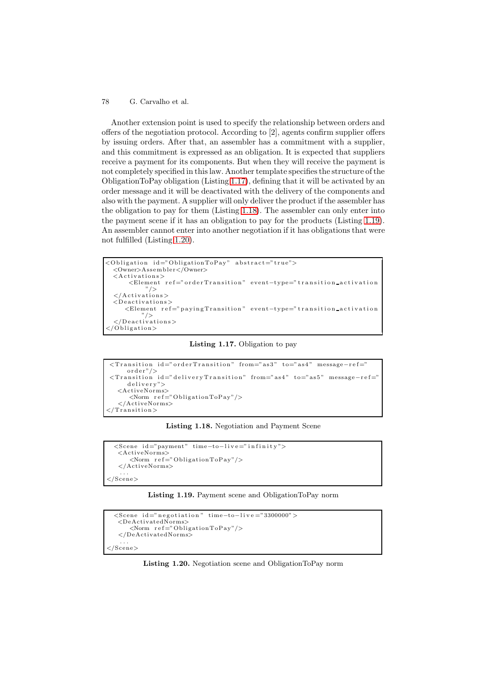Another extension point is used to specify the relationship between orders and offers of the negotiation protocol. According to [2], agents confirm supplier offers by issuing orders. After that, an assembler has a commitment with a supplier, and this commitment is expressed as an obligation. It is expected that suppliers receive a payment for its components. But when they will receive the payment is not completely specified in this law. Another template specifies the structure ofthe ObligationToPay obligation (Listing [1.17\)](#page-14-0), defining that it will be activated by an order message and it will be deactivated with the delivery of the components and also with the payment. A supplier will only deliver the product if the assembler has the obligation to pay for them (Listing [1.18\)](#page-14-1). The assembler can only enter into the payment scene if it has an obligation to pay for the products (Listing [1.19\)](#page-14-2). An assembler cannot enter into another negotiation if it has obligations that were not fulfilled (Listing [1.20\)](#page-14-3).

```
\langle \text{Obligation id} = \text{"ObligationToPay"} \text{ abstract="true"}<Owner>Assembler</Owner>
  <Activations >
       <E lement r e f =" o r d e r T r a n s i t i o n " ev ent−typ e=" t r a n s i t i o n activation
  "/>
</Activations >
  <Deactivations >
      <E lement r e f ="p a y i n g T r a n s i t i o n " ev ent−typ e=" t r a n s i t i o n activation
            "/>
    </Deactivations >
</Obligation>
```
#### **Listing 1.17.** Obligation to pay

```
\overline{\text{z}} an sition id=" orderTransition" from="as3" to="as4" message−ref="
     order"/<T r a n s i t i o n i d=" d e l i v e r y T r a n s i t i o n " from="a s 4 " t o="a s 5 " message−r e f="
      delivery">
   <ActiveNorms>
      \ltNorm ref="ObligationToPay"/>
   </ActiveNorms>
</Transition>
```
**Listing 1.18.** Negotiation and Payment Scene

```
<Scene id="payment" time-to-live="infinity">
   <ActiveNorms>
      \langleNorm ref="ObligationToPay"/>
   </ActiveNorms>
...
</Scene>
```
#### **Listing 1.19.** Payment scene and ObligationToPay norm

```
\leqScene id=" negotiation" time-to-live="3300000">
   <DeActivatedNorms>
      <Norm ref="ObligationToPay"/>
   </DeActivatedNorms>
   ...
\langleScene>
```
### **Listing 1.20.** Negotiation scene and ObligationToPay norm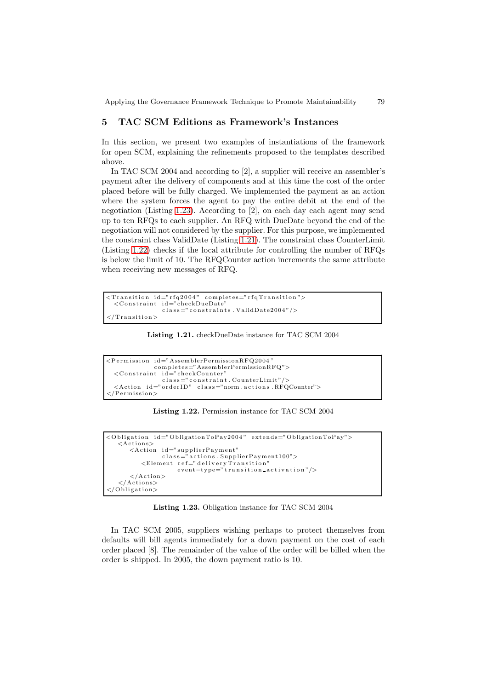## **5 TAC SCM Editions as Framework's Instances**

In this section, we present two examples of instantiations of the framework for open SCM, explaining the refinements proposed to the templates described above.

In TAC SCM 2004 and according to [2], a supplier will receive an assembler's payment after the delivery of components and at this time the cost of the order placed before will be fully charged. We implemented the payment as an action where the system forces the agent to pay the entire debit at the end of the negotiation (Listing [1.23\)](#page-15-0). According to [2], on each day each agent may send up to ten RFQs to each supplier. An RFQ with DueDate beyond the end of the negotiation will not considered by the supplier. For this purpose, we implemented the constraint class ValidDate (Listing [1.21\)](#page-15-1). The constraint class CounterLimit (Listing [1.22\)](#page-15-2) checks if the local attribute for controlling the number of RFQs is below the limit of 10. The RFQCounter action increments the same attribute when receiving new messages of RFQ.

```
\overline{\text{<Transition id}} = \text{"rfq2004"} \text{ completes="rfgTransition">}<Constraint id="checkDueDate"
                   class = "constraints. ValidDate 2004" />
\langle/Transition>
```
**Listing 1.21.** checkDueDate instance for TAC SCM 2004

```
<Permission id="AssemblerPermissionRFQ2004'
                c om p l e t e s="Assemb lerPerm iss ionRFQ">
  \mathsf{<} \mathsf{Construct} \; \mathrm{id} = \mathrm{"check}\mathsf{Counter}"class = "constraint. CounterLimit"\zetaAction id="orderID" class="norm actions RFQCounter">
</Permission>
```
**Listing 1.22.** Permission instance for TAC SCM 2004

```
<Obligation id="ObligationToPay2004" extends="ObligationToPay">
   <Actions>
      <Action id="supplierPayment"
                 c l a s s =" a c t i o n s . Supp l i erPaym ent100">
          <E lement r e f =" d e l i v e r y T r a n s i t i o n"
                     event-type=" transition activation"/>
       </Action>
    </Actions>
 </Obligation>
```
**Listing 1.23.** Obligation instance for TAC SCM 2004

In TAC SCM 2005, suppliers wishing perhaps to protect themselves from defaults will bill agents immediately for a down payment on the cost of each order placed [8]. The remainder of the value of the order will be billed when the order is shipped. In 2005, the down payment ratio is 10.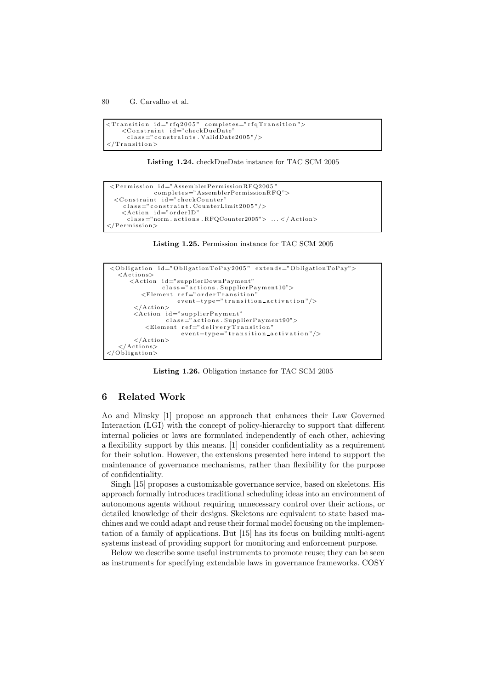```
\rm <Transition id=" rfq2005" completes=" rfqTransition">
    <Constraint id="checkDueDate"
     class="constraints. ValidDate2005"/>
\angle/Transition\sim
```
**Listing 1.24.** checkDueDate instance for TAC SCM 2005

```
\langlePermission id="AssemblerPermissionRFQ2005
             completes="AssemblerPermissionRFQ">
 <Constraint id="checkCounter
    class = "constraint. CounterLimit2005"\ltAction id="orderID"
     \text{class} = \text{"norm}. actions. RFQCounter2005"> ... </Action>
</Permission>
```
**Listing 1.25.** Permission instance for TAC SCM 2005



**Listing 1.26.** Obligation instance for TAC SCM 2005

### **6 Related Work**

Ao and Minsky [1] propose an approach that enhances their Law Governed Interaction (LGI) with the concept of policy-hierarchy to support that different internal policies or laws are formulated independently of each other, achieving a flexibility support by this means. [1] consider confidentiality as a requirement for their solution. However, the extensions presented here intend to support the maintenance of governance mechanisms, rather than flexibility for the purpose of confidentiality.

Singh [15] proposes a customizable governance service, based on skeletons. His approach formally introduces traditional scheduling ideas into an environment of autonomous agents without requiring unnecessary control over their actions, or detailed knowledge of their designs. Skeletons are equivalent to state based machines and we could adapt and reuse their formal model focusing on the implementation of a family of applications. But [15] has its focus on building multi-agent systems instead of providing support for monitoring and enforcement purpose.

Below we describe some useful instruments to promote reuse; they can be seen as instruments for specifying extendable laws in governance frameworks. COSY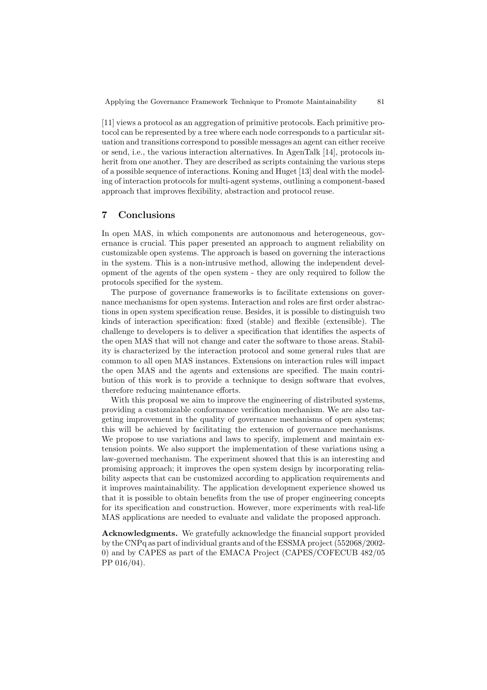[11] views a protocol as an aggregation of primitive protocols. Each primitive protocol can be represented by a tree where each node corresponds to a particular situation and transitions correspond to possible messages an agent can either receive or send, i.e., the various interaction alternatives. In AgenTalk [14], protocols inherit from one another. They are described as scripts containing the various steps of a possible sequence of interactions. Koning and Huget [13] deal with the modeling of interaction protocols for multi-agent systems, outlining a component-based approach that improves flexibility, abstraction and protocol reuse.

# **7 Conclusions**

In open MAS, in which components are autonomous and heterogeneous, governance is crucial. This paper presented an approach to augment reliability on customizable open systems. The approach is based on governing the interactions in the system. This is a non-intrusive method, allowing the independent development of the agents of the open system - they are only required to follow the protocols specified for the system.

The purpose of governance frameworks is to facilitate extensions on governance mechanisms for open systems. Interaction and roles are first order abstractions in open system specification reuse. Besides, it is possible to distinguish two kinds of interaction specification: fixed (stable) and flexible (extensible). The challenge to developers is to deliver a specification that identifies the aspects of the open MAS that will not change and cater the software to those areas. Stability is characterized by the interaction protocol and some general rules that are common to all open MAS instances. Extensions on interaction rules will impact the open MAS and the agents and extensions are specified. The main contribution of this work is to provide a technique to design software that evolves, therefore reducing maintenance efforts.

With this proposal we aim to improve the engineering of distributed systems, providing a customizable conformance verification mechanism. We are also targeting improvement in the quality of governance mechanisms of open systems; this will be achieved by facilitating the extension of governance mechanisms. We propose to use variations and laws to specify, implement and maintain extension points. We also support the implementation of these variations using a law-governed mechanism. The experiment showed that this is an interesting and promising approach; it improves the open system design by incorporating reliability aspects that can be customized according to application requirements and it improves maintainability. The application development experience showed us that it is possible to obtain benefits from the use of proper engineering concepts for its specification and construction. However, more experiments with real-life MAS applications are needed to evaluate and validate the proposed approach.

**Acknowledgments.** We gratefully acknowledge the financial support provided by the CNPq as part of individual grants and of the ESSMA project(552068/2002- 0) and by CAPES as part of the EMACA Project (CAPES/COFECUB 482/05 PP 016/04).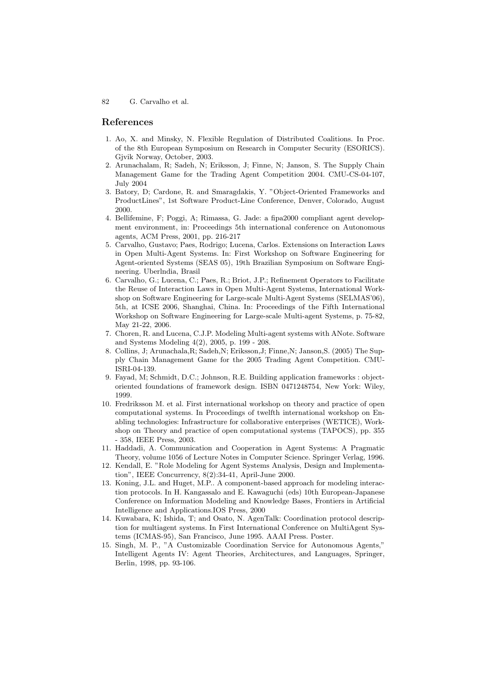### <span id="page-18-0"></span>**References**

- 1. Ao, X. and Minsky, N. Flexible Regulation of Distributed Coalitions. In Proc. of the 8th European Symposium on Research in Computer Security (ESORICS). Gjvik Norway, October, 2003.
- 2. Arunachalam, R; Sadeh, N; Eriksson, J; Finne, N; Janson, S. The Supply Chain Management Game for the Trading Agent Competition 2004. CMU-CS-04-107, July 2004
- 3. Batory, D; Cardone, R. and Smaragdakis, Y. "Object-Oriented Frameworks and ProductLines", 1st Software Product-Line Conference, Denver, Colorado, August 2000.
- 4. Bellifemine, F; Poggi, A; Rimassa, G. Jade: a fipa2000 compliant agent development environment, in: Proceedings 5th international conference on Autonomous agents, ACM Press, 2001, pp. 216-217
- 5. Carvalho, Gustavo; Paes, Rodrigo; Lucena, Carlos. Extensions on Interaction Laws in Open Multi-Agent Systems. In: First Workshop on Software Engineering for Agent-oriented Systems (SEAS 05), 19th Brazilian Symposium on Software Engineering. Uberlndia, Brasil
- 6. Carvalho, G.; Lucena, C.; Paes, R.; Briot, J.P.; Refinement Operators to Facilitate the Reuse of Interaction Laws in Open Multi-Agent Systems, International Workshop on Software Engineering for Large-scale Multi-Agent Systems (SELMAS'06), 5th, at ICSE 2006, Shanghai, China. In: Proceedings of the Fifth International Workshop on Software Engineering for Large-scale Multi-agent Systems, p. 75-82, May 21-22, 2006.
- 7. Choren, R. and Lucena, C.J.P. Modeling Multi-agent systems with ANote. Software and Systems Modeling 4(2), 2005, p. 199 - 208.
- 8. Collins, J; Arunachala,R; Sadeh,N; Eriksson,J; Finne,N; Janson,S. (2005) The Supply Chain Management Game for the 2005 Trading Agent Competition. CMU-ISRI-04-139.
- 9. Fayad, M; Schmidt, D.C.; Johnson, R.E. Building application frameworks : objectoriented foundations of framework design. ISBN 0471248754, New York: Wiley, 1999.
- 10. Fredriksson M. et al. First international workshop on theory and practice of open computational systems. In Proceedings of twelfth international workshop on Enabling technologies: Infrastructure for collaborative enterprises (WETICE), Workshop on Theory and practice of open computational systems (TAPOCS), pp. 355 - 358, IEEE Press, 2003.
- 11. Haddadi, A. Communication and Cooperation in Agent Systems: A Pragmatic Theory, volume 1056 of Lecture Notes in Computer Science. Springer Verlag, 1996.
- 12. Kendall, E. "Role Modeling for Agent Systems Analysis, Design and Implementation", IEEE Concurrency, 8(2):34-41, April-June 2000.
- 13. Koning, J.L. and Huget, M.P.. A component-based approach for modeling interaction protocols. In H. Kangassalo and E. Kawaguchi (eds) 10th European-Japanese Conference on Information Modeling and Knowledge Bases, Frontiers in Artificial Intelligence and Applications.IOS Press, 2000
- 14. Kuwabara, K; Ishida, T; and Osato, N. AgenTalk: Coordination protocol description for multiagent systems. In First International Conference on MultiAgent Systems (ICMAS-95), San Francisco, June 1995. AAAI Press. Poster.
- 15. Singh, M. P., "A Customizable Coordination Service for Autonomous Agents," Intelligent Agents IV: Agent Theories, Architectures, and Languages, Springer, Berlin, 1998, pp. 93-106.